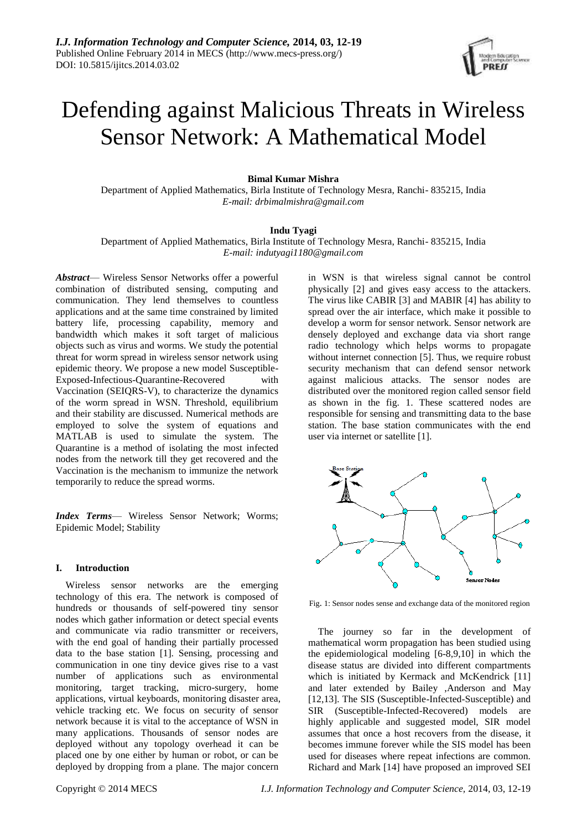

# Defending against Malicious Threats in Wireless Sensor Network: A Mathematical Model

## **Bimal Kumar Mishra**

Department of Applied Mathematics, Birla Institute of Technology Mesra, Ranchi- 835215, India *E-mail: drbimalmishra@gmail.com*

## **Indu Tyagi**

Department of Applied Mathematics, Birla Institute of Technology Mesra, Ranchi- 835215, India *E-mail[: indutyagi1180@gmail.com](mailto:indutyagi1180@gmail.com)*

*Abstract*— Wireless Sensor Networks offer a powerful combination of distributed sensing, computing and communication. They lend themselves to countless applications and at the same time constrained by limited battery life, processing capability, memory and bandwidth which makes it soft target of malicious objects such as virus and worms. We study the potential threat for worm spread in wireless sensor network using epidemic theory. We propose a new model Susceptible-Exposed-Infectious-Quarantine-Recovered with Vaccination (SEIQRS-V), to characterize the dynamics of the worm spread in WSN. Threshold, equilibrium and their stability are discussed. Numerical methods are employed to solve the system of equations and MATLAB is used to simulate the system. The Quarantine is a method of isolating the most infected nodes from the network till they get recovered and the Vaccination is the mechanism to immunize the network temporarily to reduce the spread worms.

*Index Terms*— Wireless Sensor Network; Worms; Epidemic Model; Stability

## **I. Introduction**

Wireless sensor networks are the emerging technology of this era. The network is composed of hundreds or thousands of self-powered tiny sensor nodes which gather information or detect special events and communicate via radio transmitter or receivers, with the end goal of handing their partially processed data to the base station [1]. Sensing, processing and communication in one tiny device gives rise to a vast number of applications such as environmental monitoring, target tracking, micro-surgery, home applications, virtual keyboards, monitoring disaster area, vehicle tracking etc. We focus on security of sensor network because it is vital to the acceptance of WSN in many applications. Thousands of sensor nodes are deployed without any topology overhead it can be placed one by one either by human or robot, or can be deployed by dropping from a plane. The major concern in WSN is that wireless signal cannot be control physically [2] and gives easy access to the attackers. The virus like CABIR [3] and MABIR [4] has ability to spread over the air interface, which make it possible to develop a worm for sensor network. Sensor network are densely deployed and exchange data via short range radio technology which helps worms to propagate without internet connection [5]. Thus, we require robust security mechanism that can defend sensor network against malicious attacks. The sensor nodes are distributed over the monitored region called sensor field as shown in the fig. 1. These scattered nodes are responsible for sensing and transmitting data to the base station. The base station communicates with the end user via internet or satellite [1].



Fig. 1: Sensor nodes sense and exchange data of the monitored region

The journey so far in the development of mathematical worm propagation has been studied using the epidemiological modeling [6-8,9,10] in which the disease status are divided into different compartments which is initiated by Kermack and McKendrick [11] and later extended by Bailey ,Anderson and May [12,13]. The SIS (Susceptible-Infected-Susceptible) and SIR (Susceptible-Infected-Recovered) models are highly applicable and suggested model, SIR model assumes that once a host recovers from the disease, it becomes immune forever while the SIS model has been used for diseases where repeat infections are common. Richard and Mark [14] have proposed an improved SEI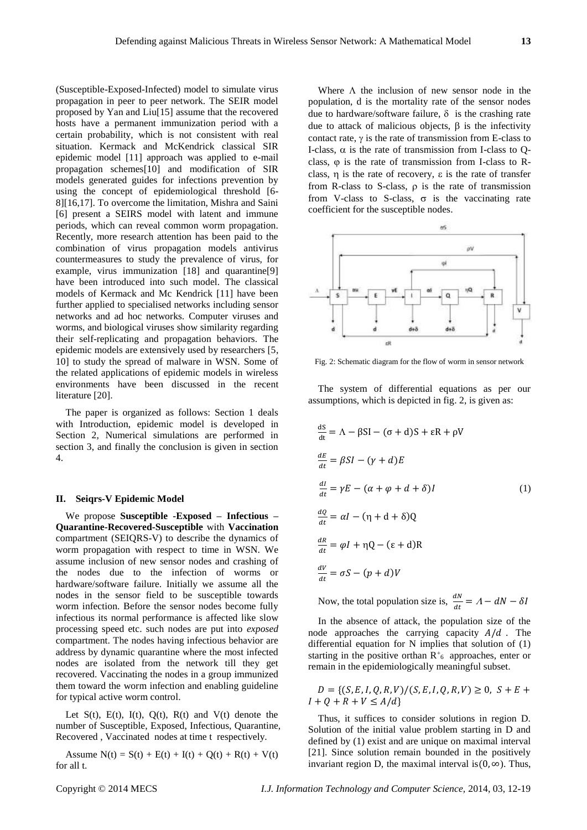(Susceptible-Exposed-Infected) model to simulate virus propagation in peer to peer network. The SEIR model proposed by Yan and Liu[15] assume that the recovered hosts have a permanent immunization period with a certain probability, which is not consistent with real situation. Kermack and McKendrick classical SIR epidemic model [11] approach was applied to e-mail propagation schemes[10] and modification of SIR models generated guides for infections prevention by using the concept of epidemiological threshold [6- 8][16,17]. To overcome the limitation, Mishra and Saini [6] present a SEIRS model with latent and immune periods, which can reveal common worm propagation. Recently, more research attention has been paid to the combination of virus propagation models antivirus countermeasures to study the prevalence of virus, for example, virus immunization [18] and quarantine[9] have been introduced into such model. The classical models of Kermack and Mc Kendrick [11] have been further applied to specialised networks including sensor networks and ad hoc networks. Computer viruses and worms, and biological viruses show similarity regarding their self-replicating and propagation behaviors. The epidemic models are extensively used by researchers [5, 10] to study the spread of malware in WSN. Some of the related applications of epidemic models in wireless environments have been discussed in the recent literature [20].

The paper is organized as follows: Section 1 deals with Introduction, epidemic model is developed in Section 2, Numerical simulations are performed in section 3, and finally the conclusion is given in section 4.

#### **II. Seiqrs-V Epidemic Model**

We propose **Susceptible -Exposed – Infectious – Quarantine-Recovered-Susceptible** with **Vaccination** compartment (SEIQRS-V) to describe the dynamics of worm propagation with respect to time in WSN. We assume inclusion of new sensor nodes and crashing of the nodes due to the infection of worms or hardware/software failure. Initially we assume all the nodes in the sensor field to be susceptible towards worm infection. Before the sensor nodes become fully infectious its normal performance is affected like slow processing speed etc. such nodes are put into *exposed* compartment. The nodes having infectious behavior are address by dynamic quarantine where the most infected nodes are isolated from the network till they get recovered. Vaccinating the nodes in a group immunized them toward the worm infection and enabling guideline for typical active worm control.

Let  $S(t)$ ,  $E(t)$ ,  $I(t)$ ,  $Q(t)$ ,  $R(t)$  and  $V(t)$  denote the number of Susceptible, Exposed, Infectious, Quarantine, Recovered , Vaccinated nodes at time t respectively.

Assume  $N(t) = S(t) + E(t) + I(t) + Q(t) + R(t) + V(t)$ for all t.

Where  $\Lambda$  the inclusion of new sensor node in the population, d is the mortality rate of the sensor nodes due to hardware/software failure,  $\delta$  is the crashing rate due to attack of malicious objects,  $\beta$  is the infectivity contact rate,  $\gamma$  is the rate of transmission from E-class to I-class,  $\alpha$  is the rate of transmission from I-class to Oclass,  $\varphi$  is the rate of transmission from I-class to Rclass,  $\eta$  is the rate of recovery,  $\varepsilon$  is the rate of transfer from R-class to S-class,  $\rho$  is the rate of transmission from V-class to S-class,  $\sigma$  is the vaccinating rate coefficient for the susceptible nodes.



Fig. 2: Schematic diagram for the flow of worm in sensor network

The system of differential equations as per our assumptions, which is depicted in fig. 2, is given as:

$$
\frac{dS}{dt} = \Lambda - \beta SI - (\sigma + d)S + \epsilon R + \rho V
$$
  
\n
$$
\frac{dE}{dt} = \beta SI - (\gamma + d)E
$$
  
\n
$$
\frac{dI}{dt} = \gamma E - (\alpha + \varphi + d + \delta)I
$$
  
\n
$$
\frac{dQ}{dt} = \alpha I - (\eta + d + \delta)Q
$$
  
\n
$$
\frac{dR}{dt} = \varphi I + \eta Q - (\epsilon + d)R
$$
  
\n
$$
\frac{dV}{dt} = \sigma S - (\gamma + d)V
$$

Now, the total population size is,  $\frac{dN}{dt} = A - dN - \delta I$ 

In the absence of attack, the population size of the node approaches the carrying capacity  $A/d$ . The differential equation for N implies that solution of (1) starting in the positive orthan  $R^+$ <sub>6</sub> approaches, enter or remain in the epidemiologically meaningful subset.

 $D = \{ (S, E, I, Q, R, V) / (S, E, I, Q, R, V) \ge 0, S + E +$  $I + Q + R + V \leq A/d$ 

Thus, it suffices to consider solutions in region D. Solution of the initial value problem starting in D and defined by (1) exist and are unique on maximal interval [21]. Since solution remain bounded in the positively invariant region D, the maximal interval is $(0, \infty)$ . Thus,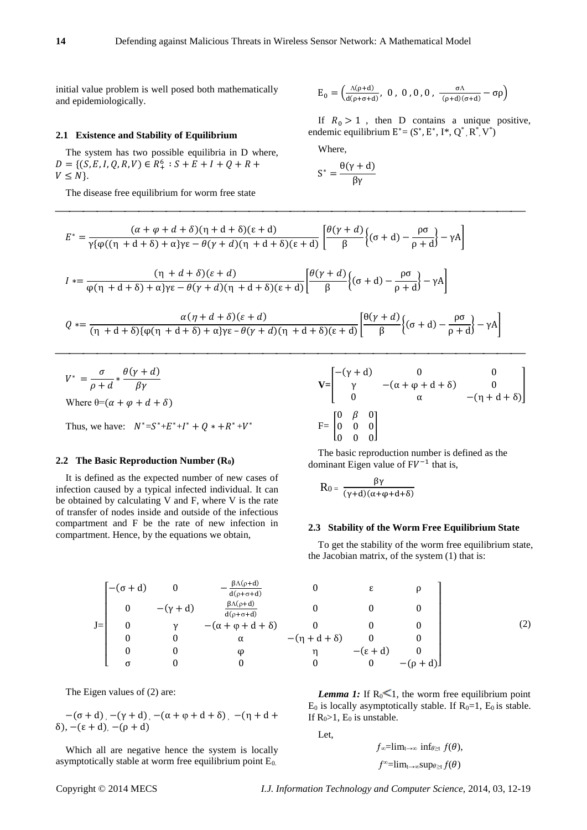initial value problem is well posed both mathematically and epidemiologically.

## **2.1 Existence and Stability of Equilibrium**

The system has two possible equilibria in D where,  $D = \{(S, E, I, Q, R, V) \in R_+^6 : S + E + I + Q + R +$  $V \leq N$ .

The disease free equilibrium for worm free state

$$
E_0=\begin{pmatrix} \frac{\Lambda(\rho+d)}{d(\rho+\sigma+d)},\ 0\ ,\ 0\ ,0\ ,0\ ,\ \frac{\sigma\Lambda}{(\rho+d)(\sigma+d)}-\sigma\rho\end{pmatrix}
$$

If  $R_0 > 1$ , then D contains a unique positive, endemic equilibrium  $E^* = (S^*, E^*, I^*, Q^*, R^*, V^*)$ 

Where,

$$
S^* = \frac{\theta(\gamma + d)}{\beta \gamma}
$$

$$
E^* = \frac{(\alpha + \varphi + d + \delta)(\eta + d + \delta)(\epsilon + d)}{\gamma \{\varphi((\eta + d + \delta) + \alpha\}\gamma \epsilon - \theta(\gamma + d)(\eta + d + \delta)(\epsilon + d))} \left[ \frac{\theta(\gamma + d)}{\beta} \{(\sigma + d) - \frac{\rho \sigma}{\rho + d}\} - \gamma A \right]
$$
  

$$
(\eta + d + \delta)(\epsilon + d) \qquad [\theta(\gamma + d)_{(\epsilon + d)}, \rho \sigma] = \rho \sigma
$$

$$
I \ast = \frac{(\eta + d + \delta)(\epsilon + d)}{\phi(\eta + d + \delta) + \alpha\gamma\epsilon - \theta(\gamma + d)(\eta + d + \delta)(\epsilon + d)} \left[\frac{\theta(\gamma + d)}{\beta}\left\{(\sigma + d) - \frac{\rho\sigma}{\rho + d}\right\} - \gamma A\right]
$$

$$
Q * = \frac{\alpha(\eta + d + \delta)(\varepsilon + d)}{(\eta + d + \delta)\{\varphi(\eta + d + \delta) + \alpha\}\gamma\varepsilon - \theta(\gamma + d)(\eta + d + \delta)(\varepsilon + d)} \left[\frac{\theta(\gamma + d)}{\beta}\left\{(\sigma + d) - \frac{\rho\sigma}{\rho + d}\right\} - \gamma A\right]
$$

$$
V^* = \frac{\sigma}{\rho + d} * \frac{\theta(\gamma + d)}{\beta \gamma}
$$
  
Where  $\theta = (\alpha + \varphi + d + \delta)$ 

Thus, we have:  $N^* = S^* + E^* + I^* + Q^* + R^* + V^*$ 

#### **2.2 The Basic Reproduction Number (R0)**

It is defined as the expected number of new cases of infection caused by a typical infected individual. It can be obtained by calculating V and F, where V is the rate of transfer of nodes inside and outside of the infectious compartment and F be the rate of new infection in compartment. Hence, by the equations we obtain,

$$
\mathbf{V} = \begin{bmatrix} -(\gamma + d) & 0 & 0 \\ \gamma & -(\alpha + \varphi + d + \delta) & 0 \\ 0 & \alpha & -(\eta + d + \delta) \end{bmatrix}
$$
  
\n
$$
F = \begin{bmatrix} 0 & \beta & 0 \\ 0 & 0 & 0 \\ 0 & 0 & 0 \end{bmatrix}
$$

The basic reproduction number is defined as the dominant Eigen value of  $FV^{-1}$  that is,

$$
R_0=\,\frac{\beta\gamma}{(\gamma+d)(\alpha+\phi+d+\delta)}
$$

#### **2.3 Stability of the Worm Free Equilibrium State**

To get the stability of the worm free equilibrium state, the Jacobian matrix, of the system (1) that is:

$$
J = \begin{bmatrix}\n-(\sigma + d) & 0 & -\frac{\beta \Lambda(\rho + d)}{d(\rho + \sigma + d)} & 0 & \epsilon & \rho \\
0 & -(\gamma + d) & \frac{\beta \Lambda(\rho + d)}{d(\rho + \sigma + d)} & 0 & 0 & 0 \\
0 & \gamma & -(\alpha + \phi + d + \delta) & 0 & 0 & 0 \\
0 & 0 & \alpha & -(\eta + d + \delta) & 0 & 0 \\
0 & 0 & \phi & \eta & -(\epsilon + d) & 0 \\
\sigma & 0 & 0 & 0 & 0 & -(\rho - d)\n\end{bmatrix}
$$

 $\theta$ 

The Eigen values of (2) are:

$$
-(\sigma + d)_{1} - (\gamma + d)_{2} - (\alpha + \phi + d + \delta)_{1} - (\eta + d + \delta)_{1}
$$
  
 
$$
\delta)_{2} - (\epsilon + d)_{1} - (\rho + d)
$$

Which all are negative hence the system is locally asymptotically stable at worm free equilibrium point  $E_0$ .

$$
(- + d) \t 0 \t -\frac{\beta \Lambda(p+d)}{d(p+\sigma+d)} \t 0 \t \epsilon \t \rho\n\n0 \t -(\gamma + d) \t \frac{\beta \Lambda(p+d)}{d(p+\sigma+d)} \t 0 \t 0 \t 0\n\n0 \t \gamma \t -(\alpha + \phi + d + \delta) \t 0 \t 0 \t 0\n\n0 \t 0 \t \alpha \t -(\eta + d + \delta) \t 0 \t 0\n\n0 \t 0 \t \gamma \t -(\epsilon + d) \t 0\n\n0 \t 0 \t 0 \t -(\rho + d)\t 0
$$
\n(2)

*Lemma 1:* If  $R_0 \le 1$ , the worm free equilibrium point  $E_0$  is locally asymptotically stable. If  $R_0=1$ ,  $E_0$  is stable. If  $R_0>1$ ,  $E_0$  is unstable.

Let,

$$
f_{\infty} = \lim_{t \to \infty} \inf_{\theta \ge t} f(\theta),
$$
  

$$
f^{\infty} = \lim_{t \to \infty} \sup_{\theta \ge t} f(\theta)
$$

 $\mathbf{r}$  + =

Copyright © 2014 MECS *I.J. Information Technology and Computer Science,* 2014, 03, 12-19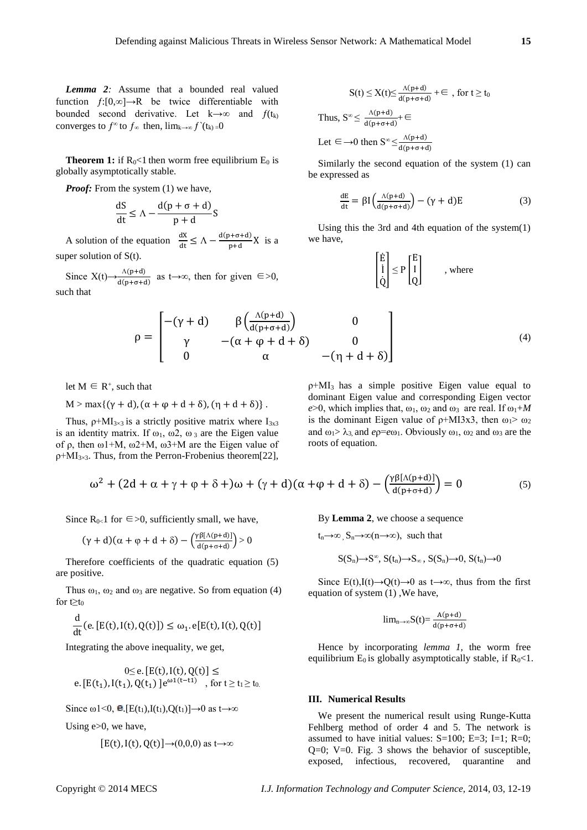*Lemma 2:* Assume that a bounded real valued function  $f:[0,\infty] \to \mathbb{R}$  be twice differentiable with bounded second derivative. Let  $k \rightarrow \infty$  and  $f(t_k)$ converges to  $f^{\infty}$  to  $f_{\infty}$  then,  $\lim_{k\to\infty} f^{\setminus}(t_k) = 0$ 

**Theorem 1:** if  $R_0 < 1$  then worm free equilibrium  $E_0$  is globally asymptotically stable.

*Proof:* From the system (1) we have,

$$
\frac{dS}{dt} \le \Lambda - \frac{d(p + \sigma + d)}{p + d}S
$$

A solution of the equation  $\frac{dX}{dt} \leq \Lambda - \frac{d(p+\sigma+d)}{p+d}$  $\frac{10+Q}{p+d}$  X is a super solution of  $S(t)$ .

Since  $X(t) \rightarrow \frac{\Lambda(p+d)}{d(p+\sigma+d)}$  as  $t \rightarrow \infty$ , then for given  $\in > 0$ , such that

$$
S(t) \le X(t) \le \frac{\Lambda(p+d)}{d(p+\sigma+d)} + \infty, \text{ for } t \ge t_0
$$
  
Thus,  $S^{\infty} \le \frac{\Lambda(p+d)}{d(p+\sigma+d)} + \infty$   
Let  $\in \rightarrow 0$  then  $S^{\infty} \le \frac{\Lambda(p+d)}{d(p+\sigma+d)}$ 

Similarly the second equation of the system (1) can be expressed as

$$
\frac{dE}{dt} = \beta I \left( \frac{\Lambda(p+d)}{d(p+\sigma+d)} \right) - (\gamma + d)E \tag{3}
$$

Using this the 3rd and 4th equation of the system(1) we have,

$$
\begin{bmatrix} \dot{E} \\ \dot{I} \\ \dot{Q} \end{bmatrix} \le P \begin{bmatrix} E \\ I \\ Q \end{bmatrix} \qquad , \text{ where}
$$

$$
\rho = \begin{bmatrix}\n-(\gamma + d) & \beta \left( \frac{\Lambda(p+d)}{d(p+\sigma+d)} \right) & 0 \\
\gamma & -(\alpha + \varphi + d + \delta) & 0 \\
0 & \alpha & -(\eta + d + \delta)\n\end{bmatrix}
$$
\n(4)

let  $M \in R^+$ , such that

 $M > max\{(\gamma + d), (\alpha + \varphi + d + \delta), (\eta + d + \delta)\}.$ 

Thus,  $\rho$ +MI<sub>3×3</sub> is a strictly positive matrix where I<sub>3x3</sub> is an identity matrix. If  $\omega_1$ ,  $\omega_2$ ,  $\omega_3$  are the Eigen value of ρ, then  $ω1+M$ ,  $ω2+M$ ,  $ω3+M$  are the Eigen value of  $\rho$ +MI<sub>3×3</sub>. Thus, from the Perron-Frobenius theorem[22],

ρ+MI3 has a simple positive Eigen value equal to dominant Eigen value and corresponding Eigen vector  $e > 0$ , which implies that,  $\omega_1$ ,  $\omega_2$  and  $\omega_3$  are real. If  $\omega_1 + M$ is the dominant Eigen value of  $\rho$ +MI3x3, then  $\omega_1$ >  $\omega_2$ and  $\omega_1 > \lambda_3$  and  $e\rho = e\omega_1$ . Obviously  $\omega_1$ ,  $\omega_2$  and  $\omega_3$  are the roots of equation.

$$
\omega^2 + (2d + \alpha + \gamma + \varphi + \delta +)\omega + (\gamma + d)(\alpha + \varphi + d + \delta) - \left(\frac{\gamma\beta[\Lambda(p+d)]}{d(p+\sigma+d)}\right) = 0
$$
 (5)

Since  $R_{0}$  for  $\epsilon > 0$ , sufficiently small, we have,

$$
(\gamma + d)(\alpha + \varphi + d + \delta) - \left(\frac{\gamma \beta[\Lambda(p+d)]}{d(p+\sigma+d)}\right) > 0
$$

Therefore coefficients of the quadratic equation (5) are positive.

Thus  $\omega_1$ ,  $\omega_2$  and  $\omega_3$  are negative. So from equation (4) for t $\geq t_0$ 

$$
\frac{d}{dt}(\mathbf{e}.[E(t),I(t),Q(t)]) \leq \omega_1.\mathbf{e}[E(t),I(t),Q(t)]
$$

Integrating the above inequality, we get,

$$
0 \le e. [E(t), I(t), Q(t)] \le
$$
  
e. [E(t<sub>1</sub>), I(t<sub>1</sub>), Q(t<sub>1</sub>)]  $e^{\omega 1(t-t1)}$ , for  $t \ge t_1 \ge t_0$ .

Since  $\omega$ 1<0, **e**.[E(t<sub>1</sub>),I(t<sub>1</sub>),Q(t<sub>1</sub>)]→0 as t→∞

Using e>0, we have,

 $[E(t), I(t), Q(t)] \rightarrow (0,0,0)$  as t $\rightarrow \infty$ 

By **Lemma 2**, we choose a sequence

 $t_n \rightarrow \infty$ ,  $S_n \rightarrow \infty$ (n $\rightarrow \infty$ ), such that

$$
S(S_n){\rightarrow} S^\infty, \, S(t_n){\rightarrow} S_\infty\, , \, S(S_n){\rightarrow} 0, \, S(t_n){\rightarrow} 0
$$

Since E(t),I(t)→Q(t)→0 as t→∞, thus from the first equation of system (1) ,We have,

$$
lim_{n\to\infty}S(t)=\frac{A(p+d)}{d(p+\sigma+d)}
$$

Hence by incorporating *lemma 1,* the worm free equilibrium  $E_0$  is globally asymptotically stable, if  $R_0 < 1$ .

#### **III. Numerical Results**

We present the numerical result using Runge-Kutta Fehlberg method of order 4 and 5. The network is assumed to have initial values:  $S=100$ ;  $E=3$ ;  $I=1$ ;  $R=0$ ;  $Q=0$ ;  $V=0$ . Fig. 3 shows the behavior of susceptible, exposed, infectious, recovered, quarantine and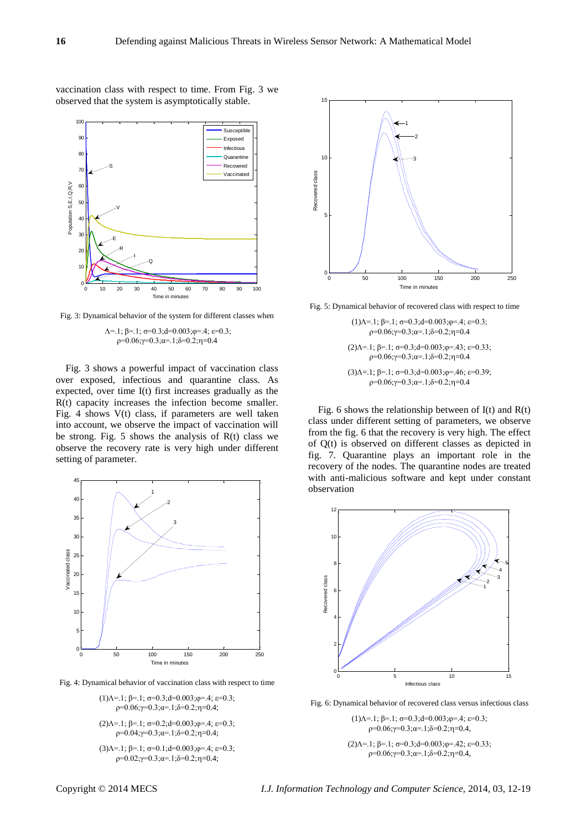vaccination class with respect to time. From Fig. 3 we observed that the system is asymptotically stable.



Fig. 3: Dynamical behavior of the system for different classes when

#### $\Lambda$ =.1;  $\beta$ =.1;  $\sigma$ =0.3;d=0.003; $\varphi$ =.4;  $\varepsilon$ =0.3;  $ρ=0.06; γ=0.3; α=.1; δ=0.2; γ=0.4$

Fig. 3 shows a powerful impact of vaccination class over exposed, infectious and quarantine class. As expected, over time I(t) first increases gradually as the R(t) capacity increases the infection become smaller. Fig. 4 shows V(t) class, if parameters are well taken into account, we observe the impact of vaccination will be strong. Fig. 5 shows the analysis of  $R(t)$  class we observe the recovery rate is very high under different setting of parameter.



Fig. 4: Dynamical behavior of vaccination class with respect to time

(1) $\Lambda$ =.1;  $\beta$ =.1;  $\sigma$ =0.3; d=0.003;  $\varphi$ =.4;  $\varepsilon$ =0.3;  $ρ=0.06; γ=0.3; α=.1; δ=0.2; γ=0.4;$ 

(2) $\Lambda$ =.1;  $\beta$ =.1;  $\sigma$ =0.2;d=0.003; $\varphi$ =.4;  $\varepsilon$ =0.3;  $ρ=0.04; γ=0.3; α=.1; δ=0.2; γ=0.4;$ 

(3) $\Lambda$ =.1;  $\beta$ =.1;  $\sigma$ =0.1;d=0.003; $\varphi$ =.4;  $\varepsilon$ =0.3;  $ρ=0.02; γ=0.3; α=.1; δ=0.2; γ=0.4;$ 



Fig. 5: Dynamical behavior of recovered class with respect to time

(1) $\Lambda$ =.1;  $\beta$ =.1;  $\sigma$ =0.3; d=0.003;  $\phi$ =.4;  $\varepsilon$ =0.3;  $ρ=0.06; γ=0.3; α=0.1; δ=0.2; γ=0.4$ (2) $\Lambda$ =.1;  $\beta$ =.1;  $\sigma$ =0.3; $d$ =0.003; $\varphi$ =.43;  $\varepsilon$ =0.33;  $ρ=0.06; γ=0.3; α=0.1; δ=0.2; γ=0.4$ (3) $\Lambda$ =.1;  $\beta$ =.1;  $\sigma$ =0.3;d=0.003; $\varphi$ =.46;  $\varepsilon$ =0.39;  $ρ=0.06; γ=0.3; α=.1; δ=0.2; η=0.4$ 

Fig. 6 shows the relationship between of  $I(t)$  and  $R(t)$ class under different setting of parameters, we observe from the fig. 6 that the recovery is very high. The effect of Q(t) is observed on different classes as depicted in fig. 7. Quarantine plays an important role in the recovery of the nodes. The quarantine nodes are treated with anti-malicious software and kept under constant observation



Fig. 6: Dynamical behavior of recovered class versus infectious class

(1) $\Lambda$ =.1;  $\beta$ =.1;  $\sigma$ =0.3;d=0.003; $\varphi$ =.4;  $\varepsilon$ =0.3;  $ρ=0.06; γ=0.3; α=0.1; δ=0.2; γ=0.4,$ 

(2) $\Lambda$ =.1;  $\beta$ =.1;  $\sigma$ =0.3;d=0.003; $\varphi$ =.42;  $\varepsilon$ =0.33;  $ρ=0.06; γ=0.3; α=0.1; δ=0.2; γ=0.4,$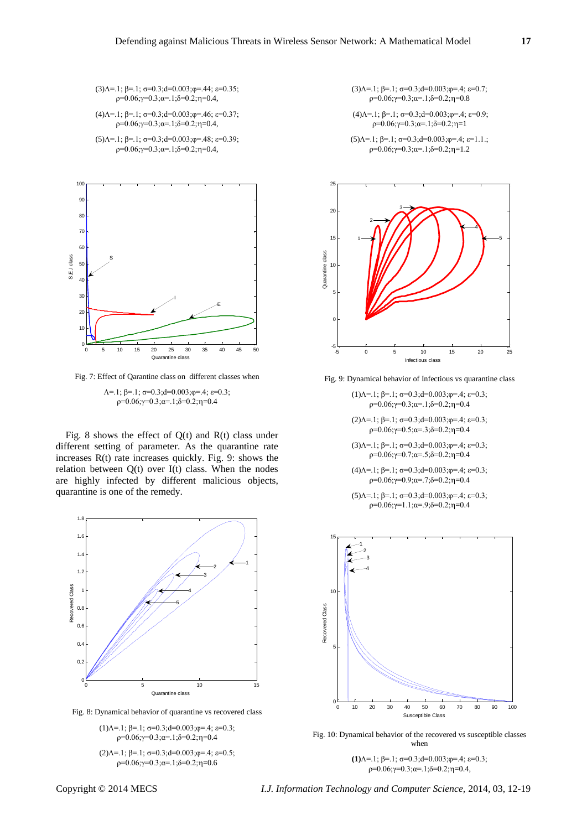(3) $\Lambda$ =.1;  $\beta$ =.1;  $\sigma$ =0.3; $d$ =0.003; $\phi$ =.44;  $\varepsilon$ =0.35;  $ρ=0.06; γ=0.3; α=.1; δ=0.2; γ=0.4,$ 

(4) $\Lambda$ =.1;  $\beta$ =.1;  $\sigma$ =0.3; $d$ =0.003; $\varphi$ =.46;  $\varepsilon$ =0.37;  $ρ=0.06; γ=0.3; α=.1; δ=0.2; γ=0.4,$ 

(5) $\Lambda$ =.1;  $\beta$ =.1;  $\sigma$ =0.3; $d$ =0.003; $\varphi$ =.48;  $\varepsilon$ =0.39;  $ρ=0.06; γ=0.3; α=.1; δ=0.2; γ=0.4,$ 



Fig. 7: Effect of Qarantine class on different classes when

 $\Lambda$ =.1;  $\beta$ =.1;  $\sigma$ =0.3;d=0.003; $\varphi$ =.4;  $\varepsilon$ =0.3;  $ρ=0.06; γ=0.3; α=.1; δ=0.2; γ=0.4$ 

Fig. 8 shows the effect of  $Q(t)$  and  $R(t)$  class under different setting of parameter. As the quarantine rate increases R(t) rate increases quickly. Fig. 9: shows the relation between  $Q(t)$  over  $I(t)$  class. When the nodes are highly infected by different malicious objects, quarantine is one of the remedy.



Fig. 8: Dynamical behavior of quarantine vs recovered class

(1) $\Lambda$ =.1;  $\beta$ =.1;  $\sigma$ =0.3;d=0.003; $\varphi$ =.4;  $\varepsilon$ =0.3;  $ρ=0.06; γ=0.3; α=.1; δ=0.2; γ=0.4$ 

(2) $\Lambda$ =.1;  $\beta$ =.1;  $\sigma$ =0.3; d=0.003;  $\phi$ =.4;  $\varepsilon$ =0.5;  $p=0.06; \gamma=0.3; \alpha=1; \delta=0.2; \eta=0.6$ 

(3) $\Lambda$ =.1;  $\beta$ =.1;  $\sigma$ =0.3;d=0.003; $\varphi$ =.4;  $\varepsilon$ =0.7; ρ=0.06;γ=0.3;α=.1;δ=0.2;η=0.8

(4) $\Lambda$ =.1;  $\beta$ =.1;  $\sigma$ =0.3;d=0.003; $\varphi$ =.4;  $\varepsilon$ =0.9;  $ρ=0.06; γ=0.3; α=.1; δ=0.2; η=1$ 

(5) $\Lambda$ =.1;  $\beta$ =.1;  $\sigma$ =0.3;d=0.003; $\varphi$ =.4;  $\varepsilon$ =1.1.;  $ρ=0.06; γ=0.3; α=.1; δ=0.2; γ=1.2$ 



Fig. 9: Dynamical behavior of Infectious vs quarantine class

- (1) $\Lambda$ =.1;  $\beta$ =.1;  $\sigma$ =0.3; $d$ =0.003; $\varphi$ =.4;  $\varepsilon$ =0.3; ρ=0.06;γ=0.3;α=.1;δ=0.2;η=0.4
- (2) $\Lambda$ =.1;  $\beta$ =.1;  $\sigma$ =0.3; $d$ =0.003; $\varphi$ =.4;  $\varepsilon$ =0.3;  $ρ=0.06; γ=0.5; α=0.3; δ=0.2; η=0.4$
- (3) $\Lambda$ =.1;  $\beta$ =.1;  $\sigma$ =0.3;  $d$ =0.003;  $\varphi$ =.4;  $\varepsilon$ =0.3; ρ=0.06;γ=0.7;α=.5;δ=0.2;η=0.4
- (4) $\Lambda$ =.1;  $\beta$ =.1;  $\sigma$ =0.3;  $d$ =0.003;  $\varphi$ =.4;  $\varepsilon$ =0.3; ρ=0.06;γ=0.9;α=.7;δ=0.2;η=0.4
- (5) $\Lambda$ =.1;  $\beta$ =.1;  $\sigma$ =0.3;d=0.003; $\varphi$ =.4;  $\varepsilon$ =0.3;  $ρ=0.06; γ=1.1; α=0.9; δ=0.2; γ=0.4$

![](_page_5_Figure_22.jpeg)

Fig. 10: Dynamical behavior of the recovered vs susceptible classes when

**(1)**=.1; β=.1; σ=0.3;d=0.003;φ=.4; ε=0.3;  $ρ=0.06; γ=0.3; α=0.1; δ=0.2; γ=0.4,$ 

Copyright © 2014 MECS *I.J. Information Technology and Computer Science,* 2014, 03, 12-19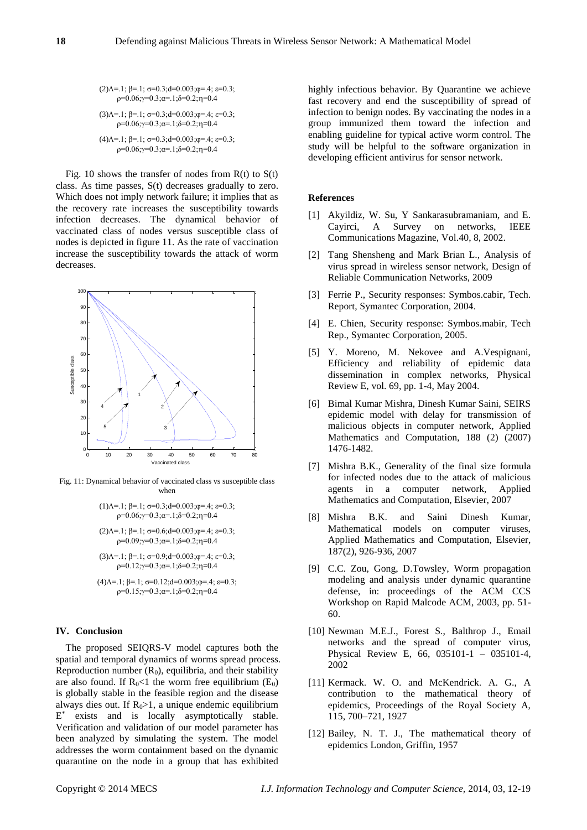$$
(2)\Lambda=1; \beta=1; \sigma=0.3; d=0.003; \varphi=4; \epsilon=0.3; \rho=0.06; \gamma=0.3; \alpha=1; \delta=0.2; \eta=0.4 \n(3)\Lambda=1; \beta=1; \sigma=0.3; d=0.003; \varphi=4; \epsilon=0.3; \rho=0.06; \gamma=0.3; \alpha=1; \delta=0.2; \eta=0.4 \n(4)\Lambda=1; \beta=1; \sigma=0.3; d=0.003; \varphi=4; \epsilon=0.3; \rho=0.06; \gamma=0.3; \alpha=1; \delta=0.2; \eta=0.4
$$

Fig. 10 shows the transfer of nodes from  $R(t)$  to  $S(t)$ class. As time passes, S(t) decreases gradually to zero. Which does not imply network failure; it implies that as the recovery rate increases the susceptibility towards infection decreases. The dynamical behavior of vaccinated class of nodes versus susceptible class of nodes is depicted in figure 11. As the rate of vaccination increase the susceptibility towards the attack of worm decreases.

![](_page_6_Figure_3.jpeg)

Fig. 11: Dynamical behavior of vaccinated class vs susceptible class when

$$
\begin{array}{c} (1) \Lambda = .1; \ \beta = .1; \ \sigma = 0.3; d = 0.003; \varphi = .4; \ \epsilon = 0.3; \\ \rho = 0.06; \gamma = 0.3; \alpha = .1; \delta = 0.2; \eta = 0.4 \end{array}
$$

(2) $\Lambda$ =.1;  $\beta$ =.1;  $\sigma$ =0.6;d=0.003; $\varphi$ =.4;  $\varepsilon$ =0.3;  $ρ=0.09; γ=0.3; α=0.1; δ=0.2; γ=0.4$ 

$$
\begin{array}{c} (3)\Lambda = .1; \ \beta = .1; \ \sigma = 0.9; d = 0.003; \phi = .4; \ \epsilon = 0.3; \\ \rho = 0.12; \gamma = 0.3; \alpha = .1; \delta = 0.2; \eta = 0.4 \end{array}
$$

(4)
$$
\Lambda
$$
=.1;  $\beta$ =.1;  $\sigma$ =0.12; $d$ =0.003;  $\varphi$ =.4;  $\varepsilon$ =0.3;  $\rho$ =0.15;  $\gamma$ =0.3;  $\alpha$ =.1;  $\delta$ =0.2;  $\eta$ =0.4

# **IV. Conclusion**

The proposed SEIQRS-V model captures both the spatial and temporal dynamics of worms spread process. Reproduction number  $(R_0)$ , equilibria, and their stability are also found. If  $R_0$ <1 the worm free equilibrium (E<sub>0</sub>) is globally stable in the feasible region and the disease always dies out. If  $R_0$ >1, a unique endemic equilibrium E<sup>\*</sup> exists and is locally asymptotically stable. Verification and validation of our model parameter has been analyzed by simulating the system. The model addresses the worm containment based on the dynamic quarantine on the node in a group that has exhibited

highly infectious behavior. By Quarantine we achieve fast recovery and end the susceptibility of spread of infection to benign nodes. By vaccinating the nodes in a group immunized them toward the infection and enabling guideline for typical active worm control. The study will be helpful to the software organization in developing efficient antivirus for sensor network.

#### **References**

- [1] Akyildiz, W. Su, Y Sankarasubramaniam, and E. Cayirci, A Survey on networks, IEEE Communications Magazine, Vol.40, 8, 2002.
- [2] Tang Shensheng and Mark Brian L., Analysis of virus spread in wireless sensor network, Design of Reliable Communication Networks, 2009
- [3] Ferrie P., Security responses: Symbos.cabir, Tech. Report, Symantec Corporation, 2004.
- [4] E. Chien, Security response: Symbos.mabir, Tech Rep., Symantec Corporation, 2005.
- [5] Y. Moreno, M. Nekovee and A.Vespignani, Efficiency and reliability of epidemic data dissemination in complex networks, Physical Review E, vol. 69, pp. 1-4, May 2004.
- [6] Bimal Kumar Mishra, Dinesh Kumar Saini, SEIRS epidemic model with delay for transmission of malicious objects in computer network, Applied Mathematics and Computation, 188 (2) (2007) 1476-1482.
- [7] Mishra B.K., Generality of the final size formula for infected nodes due to the attack of malicious agents in a computer network, Applied Mathematics and Computation, Elsevier, 2007
- [8] Mishra B.K. and Saini Dinesh Kumar, Mathematical models on computer viruses, Applied Mathematics and Computation, Elsevier, 187(2), 926-936, 2007
- [9] C.C. Zou, Gong, D.Towsley, Worm propagation modeling and analysis under dynamic quarantine defense, in: proceedings of the ACM CCS Workshop on Rapid Malcode ACM, 2003, pp. 51- 60.
- [10] Newman M.E.J., Forest S., Balthrop J., Email networks and the spread of computer virus, Physical Review E, 66, 035101-1 – 035101-4, 2002
- [11] Kermack. W. O. and McKendrick. A. G., A contribution to the mathematical theory of epidemics, Proceedings of the Royal Society A, 115, 700–721, 1927
- [12] Bailey, N. T. J., The mathematical theory of epidemics London, Griffin, 1957